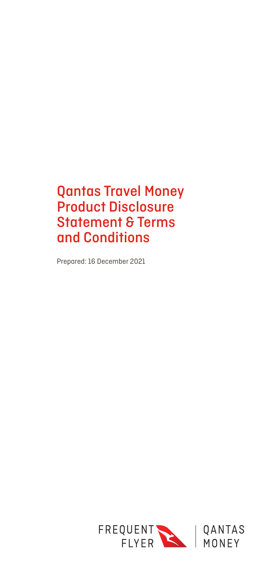# Qantas Travel Money Product Disclosure Statement & Terms and Conditions

Prepared: 16 December 2021

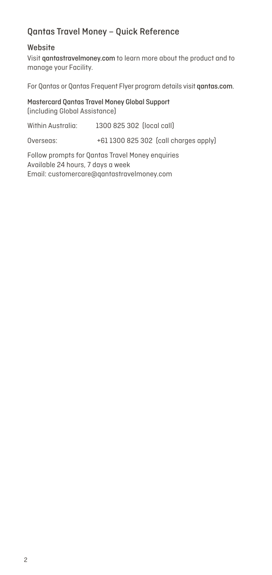# Qantas Travel Money – Quick Reference

#### Website

Visit qantastravelmoney.com to learn more about the product and to manage your Facility.

For Qantas or Qantas Frequent Flyer program details visit qantas.com.

Mastercard Qantas Travel Money Global Support (including Global Assistance)

| Within Australia:                                                                     | 1300 825 302 (local call)             |  |
|---------------------------------------------------------------------------------------|---------------------------------------|--|
| Overseas:                                                                             | +61 1300 825 302 (call charges apply) |  |
| Follow prompts for Qantas Travel Money enquiries<br>Available 24 hours, 7 days a week |                                       |  |

Email: customercare@qantastravelmoney.com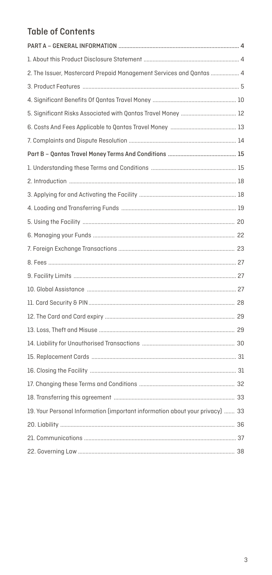# **Table of Contents**

| 2. The Issuer, Mastercard Prepaid Management Services and Qantas  4          |  |
|------------------------------------------------------------------------------|--|
|                                                                              |  |
|                                                                              |  |
|                                                                              |  |
|                                                                              |  |
|                                                                              |  |
|                                                                              |  |
|                                                                              |  |
|                                                                              |  |
|                                                                              |  |
|                                                                              |  |
|                                                                              |  |
|                                                                              |  |
|                                                                              |  |
|                                                                              |  |
|                                                                              |  |
|                                                                              |  |
|                                                                              |  |
|                                                                              |  |
|                                                                              |  |
|                                                                              |  |
|                                                                              |  |
|                                                                              |  |
|                                                                              |  |
|                                                                              |  |
| 19. Your Personal Information (important information about your privacy)  33 |  |
|                                                                              |  |
|                                                                              |  |
|                                                                              |  |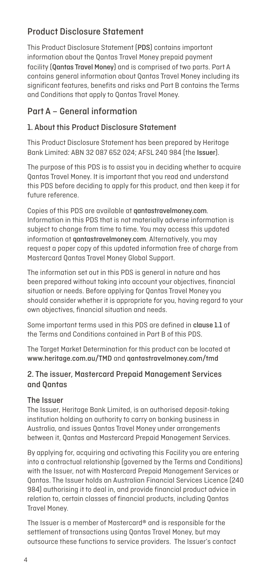## Product Disclosure Statement

This Product Disclosure Statement (PDS) contains important information about the Qantas Travel Money prepaid payment facility (Qantas Travel Money) and is comprised of two parts. Part A contains general information about Qantas Travel Money including its significant features, benefits and risks and Part B contains the Terms and Conditions that apply to Qantas Travel Money.

## Part A – General information

## 1. About this Product Disclosure Statement

This Product Disclosure Statement has been prepared by Heritage Bank Limited: ABN 32 087 652 024; AFSL 240 984 (the Issuer).

The purpose of this PDS is to assist you in deciding whether to acquire Qantas Travel Money. It is important that you read and understand this PDS before deciding to apply for this product, and then keep it for future reference.

Copies of this PDS are available at **aantastravelmoney.com.** Information in this PDS that is not materially adverse information is subject to change from time to time. You may access this updated information at qantastravelmoney.com. Alternatively, you may request a paper copy of this updated information free of charge from Mastercard Qantas Travel Money Global Support.

The information set out in this PDS is general in nature and has been prepared without taking into account your objectives, financial situation or needs. Before applying for Qantas Travel Money you should consider whether it is appropriate for you, having regard to your own objectives, financial situation and needs.

Some important terms used in this PDS are defined in clause 1.1 of the Terms and Conditions contained in Part B of this PDS.

The Target Market Determination for this product can be located at www.heritage.com.au/TMD and qantastravelmoney.com/tmd

## 2. The issuer, Mastercard Prepaid Management Services and Qantas

#### The Issuer

The Issuer, Heritage Bank Limited, is an authorised deposit-taking institution holding an authority to carry on banking business in Australia, and issues Qantas Travel Money under arrangements between it, Qantas and Mastercard Prepaid Management Services.

By applying for, acquiring and activating this Facility you are entering into a contractual relationship (governed by the Terms and Conditions) with the Issuer, not with Mastercard Prepaid Management Services or Qantas. The Issuer holds an Australian Financial Services Licence (240 984) authorising it to deal in, and provide financial product advice in relation to, certain classes of financial products, including Qantas Travel Money.

The Issuer is a member of Mastercard® and is responsible for the settlement of transactions using Qantas Travel Money, but may outsource these functions to service providers. The Issuer's contact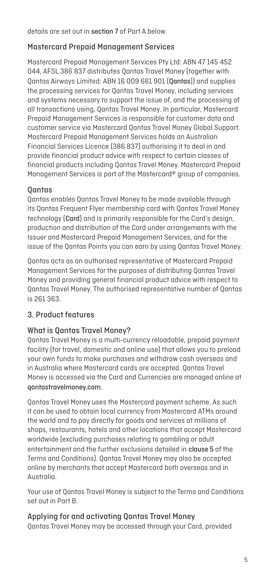details are set out in section 7 of Part A below.

#### Mastercard Prepaid Management Services

Mastercard Prepaid Management Services Pty Ltd: ABN 47 145 452 044, AFSL 386 837 distributes Qantas Travel Money (together with Qantas Airways Limited: ABN 16 009 661 901 (Qantas)) and supplies the processing services for Qantas Travel Money, including services and systems necessary to support the issue of, and the processing of all transactions using, Qantas Travel Money. In particular, Mastercard Prepaid Management Services is responsible for customer data and customer service via Mastercard Qantas Travel Money Global Support. Mastercard Prepaid Management Services holds an Australian Financial Services Licence (386 837) authorising it to deal in and provide financial product advice with respect to certain classes of financial products including Qantas Travel Money. Mastercard Prepaid Management Services is part of the Mastercard® group of companies.

#### **Oantas**

Qantas enables Qantas Travel Money to be made available through its Qantas Frequent Flyer membership card with Qantas Travel Money technology (Card) and is primarily responsible for the Card's design, production and distribution of the Card under arrangements with the Issuer and Mastercard Prepaid Management Services, and for the issue of the Qantas Points you can earn by using Qantas Travel Money.

Qantas acts as an authorised representative of Mastercard Prepaid Management Services for the purposes of distributing Qantas Travel Money and providing general financial product advice with respect to Qantas Travel Money. The authorised representative number of Qantas is 261 363.

## 3. Product features

#### What is Qantas Travel Money?

Qantas Travel Money is a multi-currency reloadable, prepaid payment facility (for travel, domestic and online use) that allows you to preload your own funds to make purchases and withdraw cash overseas and in Australia where Mastercard cards are accepted. Qantas Travel Money is accessed via the Card and Currencies are managed online at qantastravelmoney.com.

Qantas Travel Money uses the Mastercard payment scheme. As such it can be used to obtain local currency from Mastercard ATMs around the world and to pay directly for goods and services at millions of shops, restaurants, hotels and other locations that accept Mastercard worldwide (excluding purchases relating to gambling or adult entertainment and the further exclusions detailed in clause 5 of the Terms and Conditions). Qantas Travel Money may also be accepted online by merchants that accept Mastercard both overseas and in Australia.

Your use of Qantas Travel Money is subject to the Terms and Conditions set out in Part B.

Applying for and activating Qantas Travel Money Qantas Travel Money may be accessed through your Card, provided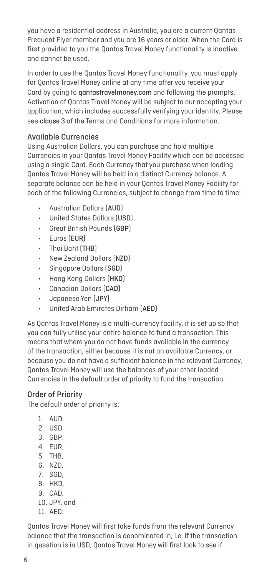you have a residential address in Australia, you are a current Qantas Frequent Flyer member and you are 16 years or older. When the Card is first provided to you the Qantas Travel Money functionality is inactive and cannot be used.

In order to use the Qantas Travel Money functionality, you must apply for Qantas Travel Money online at any time after you receive your Card by going to **gantastravelmoney.com** and following the prompts. Activation of Qantas Travel Money will be subject to our accepting your application, which includes successfully verifying your identity. Please see clause 3 of the Terms and Conditions for more information.

### Available Currencies

Using Australian Dollars, you can purchase and hold multiple Currencies in your Qantas Travel Money Facility which can be accessed using a single Card. Each Currency that you purchase when loading Qantas Travel Money will be held in a distinct Currency balance. A separate balance can be held in your Qantas Travel Money Facility for each of the following Currencies, subject to change from time to time:

- Australian Dollars (AUD)
- United States Dollars (USD)
- Great British Pounds (GBP)
- Euros (EUR)
- Thai Baht (THB)
- New Zealand Dollars (NZD)
- Singapore Dollars (SGD)
- Hong Kong Dollars (HKD)
- Canadian Dollars (CAD)
- Japanese Yen (JPY)
- United Arab Emirates Dirham (AED)

As Qantas Travel Money is a multi-currency facility, it is set up so that you can fully utilise your entire balance to fund a transaction. This means that where you do not have funds available in the currency of the transaction, either because it is not an available Currency, or because you do not have a sufficient balance in the relevant Currency, Qantas Travel Money will use the balances of your other loaded Currencies in the default order of priority to fund the transaction.

#### Order of Priority

The default order of priority is:

- 1. AUD,
- 2. USD,
- 3. GBP,
- 4. EUR,
- 5. THB,
- 6. NZD,
- 7. SGD,
- 8. HKD,
- 9. CAD,
- 10. JPY, and
- 11. AED.

Qantas Travel Money will first take funds from the relevant Currency balance that the transaction is denominated in, i.e. if the transaction in question is in USD, Qantas Travel Money will first look to see if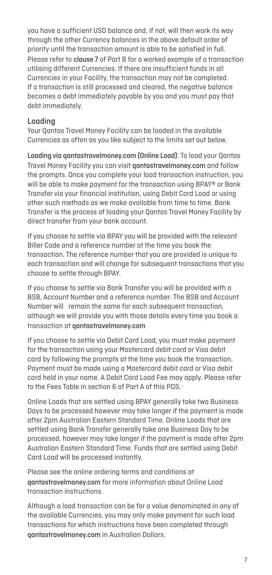you have a sufficient USD balance and, if not, will then work its way through the other Currency balances in the above default order of priority until the transaction amount is able to be satisfied in full. Please refer to clause 7 of Part B for a worked example of a transaction utilising different Currencies. If there are insufficient funds in all Currencies in your Facility, the transaction may not be completed. If a transaction is still processed and cleared, the negative balance becomes a debt immediately payable by you and you must pay that debt immediately.

#### Loading

Your Qantas Travel Money Facility can be loaded in the available Currencies as often as you like subject to the limits set out below.

Loading via qantastravelmoney.com (Online Load): To load your Qantas Travel Money Facility you can visit qantastravelmoney.com and follow the prompts. Once you complete your load transaction instruction, you will be able to make payment for the transaction using BPAY® or Bank Transfer via your financial institution, using Debit Card Load or using other such methods as we make available from time to time. Bank Transfer is the process of loading your Qantas Travel Money Facility by direct transfer from your bank account.

If you choose to settle via BPAY you will be provided with the relevant Biller Code and a reference number at the time you book the transaction. The reference number that you are provided is unique to each transaction and will change for subsequent transactions that you choose to settle through BPAY.

If you choose to settle via Bank Transfer you will be provided with a BSB, Account Number and a reference number. The BSB and Account Number will remain the same for each subsequent transaction, although we will provide you with those details every time you book a transaction at qantastravelmoney.com

If you choose to settle via Debit Card Load, you must make payment for the transaction using your Mastercard debit card or Visa debit card by following the prompts at the time you book the transaction. Payment must be made using a Mastercard debit card or Visa debit card held in your name. A Debit Card Load Fee may apply. Please refer to the Fees Table in section 6 of Part A of this PDS.

Online Loads that are settled using BPAY generally take two Business Days to be processed however may take longer if the payment is made after 2pm Australian Eastern Standard Time. Online Loads that are settled using Bank Transfer generally take one Business Day to be processed, however may take longer if the payment is made after 2pm Australian Eastern Standard Time. Funds that are settled using Debit Card Load will be processed instantly.

Please see the online ordering terms and conditions at qantastravelmoney.com for more information about Online Load transaction instructions.

Although a load transaction can be for a value denominated in any of the available Currencies, you may only make payment for such load transactions for which instructions have been completed through qantastravelmoney.com in Australian Dollars.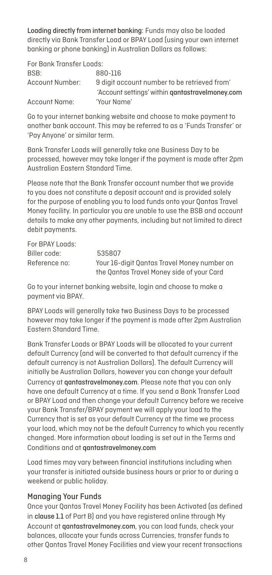Loading directly from internet banking: Funds may also be loaded directly via Bank Transfer Load or BPAY Load (using your own internet banking or phone banking) in Australian Dollars as follows:

| For Bank Transfer Loads: |                                                 |
|--------------------------|-------------------------------------------------|
| BSB:                     | 880-116                                         |
| Account Number:          | 9 digit account number to be retrieved from     |
|                          | 'Account settings' within gantastravelmoney.com |
| Account Name:            | 'Your Name'                                     |

Go to your internet banking website and choose to make payment to another bank account. This may be referred to as a 'Funds Transfer' or 'Pay Anyone' or similar term.

Bank Transfer Loads will generally take one Business Day to be processed, however may take longer if the payment is made after 2pm Australian Eastern Standard Time.

Please note that the Bank Transfer account number that we provide to you does not constitute a deposit account and is provided solely for the purpose of enabling you to load funds onto your Qantas Travel Money facility. In particular you are unable to use the BSB and account details to make any other payments, including but not limited to direct debit payments.

| For BPAY Loads: |                                                                                          |
|-----------------|------------------------------------------------------------------------------------------|
| Biller code:    | 535807                                                                                   |
| Reference no:   | Your 16-digit Qantas Travel Money number on<br>the Oantas Travel Money side of your Card |

Go to your internet banking website, login and choose to make a payment via BPAY.

BPAY Loads will generally take two Business Days to be processed however may take longer if the payment is made after 2pm Australian Eastern Standard Time.

Bank Transfer Loads or BPAY Loads will be allocated to your current default Currency (and will be converted to that default currency if the default currency is not Australian Dollars). The default Currency will initially be Australian Dollars, however you can change your default Currency at qantastravelmoney.com. Please note that you can only have one default Currency at a time. If you send a Bank Transfer Load or BPAY Load and then change your default Currency before we receive your Bank Transfer/BPAY payment we will apply your load to the Currency that is set as your default Currency at the time we process your load, which may not be the default Currency to which you recently changed. More information about loading is set out in the Terms and Conditions and at qantastravelmoney.com

Load times may vary between financial institutions including when your transfer is initiated outside business hours or prior to or during a weekend or public holiday.

#### Managing Your Funds

Once your Qantas Travel Money Facility has been Activated (as defined in clause 1.1 of Part B) and you have registered online through My Account at qantastravelmoney.com, you can load funds, check your balances, allocate your funds across Currencies, transfer funds to other Qantas Travel Money Facilities and view your recent transactions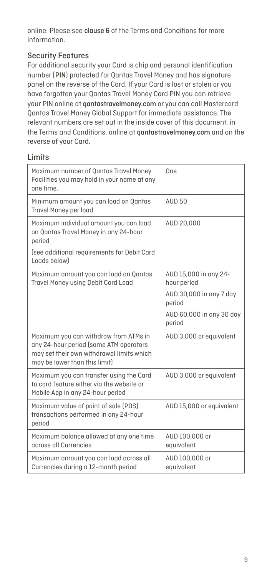online. Please see clause 6 of the Terms and Conditions for more information.

## Security Features

For additional security your Card is chip and personal identification number (PIN) protected for Qantas Travel Money and has signature panel on the reverse of the Card. If your Card is lost or stolen or you have forgotten your Qantas Travel Money Card PIN you can retrieve your PIN online at qantastravelmoney.com or you can call Mastercard Qantas Travel Money Global Support for immediate assistance. The relevant numbers are set out in the inside cover of this document, in the Terms and Conditions, online at qantastravelmoney.com and on the reverse of your Card.

### Limits

| Maximum number of Qantas Travel Money<br>Facilities you may hold in your name at any<br>one time.                                                             | One                                  |  |
|---------------------------------------------------------------------------------------------------------------------------------------------------------------|--------------------------------------|--|
| Minimum amount you can load on Qantas<br>Travel Money per load                                                                                                | <b>AUD 50</b>                        |  |
| Maximum individual amount you can load<br>on Qantas Travel Money in any 24-hour<br>period                                                                     | AUD 20,000                           |  |
| (see additional requirements for Debit Card<br>Loads below)                                                                                                   |                                      |  |
| Maximum amount you can load on Qantas<br>Travel Money using Debit Card Load                                                                                   | AUD 15,000 in any 24-<br>hour period |  |
|                                                                                                                                                               | AUD 30,000 in any 7 day<br>period    |  |
|                                                                                                                                                               | AUD 60,000 in any 30 day<br>period   |  |
| Maximum you can withdraw from ATMs in<br>any 24-hour period (some ATM operators<br>may set their own withdrawal limits which<br>may be lower than this limit) | AUD 3,000 or equivalent              |  |
| Maximum you can transfer using the Card<br>to card feature either via the website or<br>Mobile App in any 24-hour period                                      | AUD 3,000 or equivalent              |  |
| Maximum value of point of sale (POS)<br>transactions performed in any 24-hour<br>period                                                                       | AUD 15,000 or equivalent             |  |
| Maximum balance allowed at any one time<br>across all Currencies                                                                                              | AUD 100,000 or<br>equivalent         |  |
| Maximum amount you can load across all<br>Currencies during a 12-month period                                                                                 | AUD 100,000 or<br>equivalent         |  |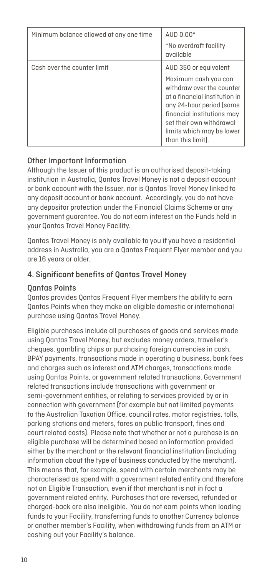| Minimum balance allowed at any one time | AUD 0.00*<br>*No overdraft facility<br>available                                                                                                                                                                                                    |
|-----------------------------------------|-----------------------------------------------------------------------------------------------------------------------------------------------------------------------------------------------------------------------------------------------------|
| Cash over the counter limit             | AUD 350 or equivalent<br>Maximum cash you can<br>withdraw over the counter<br>at a financial institution in<br>any 24-hour period (some<br>financial institutions may<br>set their own withdrawal<br>limits which may be lower<br>than this limit). |

#### Other Important Information

Although the Issuer of this product is an authorised deposit-taking institution in Australia, Qantas Travel Money is not a deposit account or bank account with the Issuer, nor is Qantas Travel Money linked to any deposit account or bank account. Accordingly, you do not have any depositor protection under the Financial Claims Scheme or any government guarantee. You do not earn interest on the Funds held in your Qantas Travel Money Facility.

Qantas Travel Money is only available to you if you have a residential address in Australia, you are a Qantas Frequent Flyer member and you are 16 years or older.

## 4. Significant benefits of Qantas Travel Money

#### Qantas Points

Qantas provides Qantas Frequent Flyer members the ability to earn Qantas Points when they make an eligible domestic or international purchase using Qantas Travel Money.

Eligible purchases include all purchases of goods and services made using Qantas Travel Money, but excludes money orders, traveller's cheques, gambling chips or purchasing foreign currencies in cash, BPAY payments, transactions made in operating a business, bank fees and charges such as interest and ATM charges, transactions made using Qantas Points, or government related transactions. Government related transactions include transactions with government or semi-government entities, or relating to services provided by or in connection with government (for example but not limited payments to the Australian Taxation Office, council rates, motor registries, tolls, parking stations and meters, fares on public transport, fines and court related costs). Please note that whether or not a purchase is an eligible purchase will be determined based on information provided either by the merchant or the relevant financial institution (including information about the type of business conducted by the merchant). This means that, for example, spend with certain merchants may be characterised as spend with a government related entity and therefore not an Eligible Transaction, even if that merchant is not in fact a government related entity. Purchases that are reversed, refunded or charged-back are also ineligible. You do not earn points when loading funds to your Facility, transferring funds to another Currency balance or another member's Facility, when withdrawing funds from an ATM or cashing out your Facility's balance.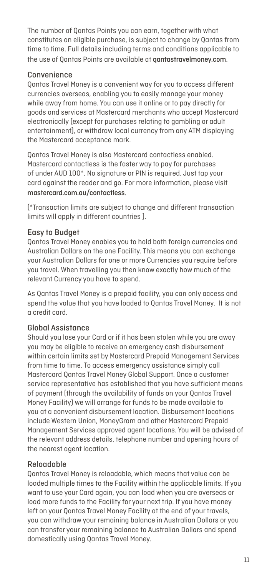The number of Qantas Points you can earn, together with what constitutes an eligible purchase, is subject to change by Qantas from time to time. Full details including terms and conditions applicable to the use of Oantas Points are available at **aantastravelmoney.com**.

#### Convenience

Qantas Travel Money is a convenient way for you to access different currencies overseas, enabling you to easily manage your money while away from home. You can use it online or to pay directly for goods and services at Mastercard merchants who accept Mastercard electronically (except for purchases relating to gambling or adult entertainment), or withdraw local currency from any ATM displaying the Mastercard acceptance mark.

Qantas Travel Money is also Mastercard contactless enabled. Mastercard contactless is the faster way to pay for purchases of under AUD 100\*. No signature or PIN is required. Just tap your card against the reader and go. For more information, please visit mastercard.com.au/contactless.

(\*Transaction limits are subject to change and different transaction limits will apply in different countries ).

#### Easy to Budget

Qantas Travel Money enables you to hold both foreign currencies and Australian Dollars on the one Facility. This means you can exchange your Australian Dollars for one or more Currencies you require before you travel. When travelling you then know exactly how much of the relevant Currency you have to spend.

As Qantas Travel Money is a prepaid facility, you can only access and spend the value that you have loaded to Qantas Travel Money. It is not a credit card.

## Global Assistance

Should you lose your Card or if it has been stolen while you are away you may be eligible to receive an emergency cash disbursement within certain limits set by Mastercard Prepaid Management Services from time to time. To access emergency assistance simply call Mastercard Qantas Travel Money Global Support. Once a customer service representative has established that you have sufficient means of payment (through the availability of funds on your Qantas Travel Money Facility) we will arrange for funds to be made available to you at a convenient disbursement location. Disbursement locations include Western Union, MoneyGram and other Mastercard Prepaid Management Services approved agent locations. You will be advised of the relevant address details, telephone number and opening hours of the nearest agent location.

#### Reloadable

Qantas Travel Money is reloadable, which means that value can be loaded multiple times to the Facility within the applicable limits. If you want to use your Card again, you can load when you are overseas or load more funds to the Facility for your next trip. If you have money left on your Qantas Travel Money Facility at the end of your travels, you can withdraw your remaining balance in Australian Dollars or you can transfer your remaining balance to Australian Dollars and spend domestically using Qantas Travel Money.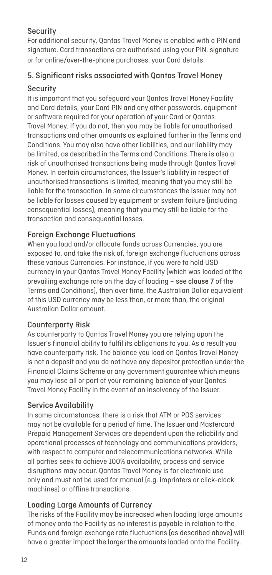## **Security**

For additional security, Qantas Travel Money is enabled with a PIN and signature. Card transactions are authorised using your PIN, signature or for online/over-the-phone purchases, your Card details.

# 5. Significant risks associated with Qantas Travel Money

## Security

It is important that you safeguard your Qantas Travel Money Facility and Card details, your Card PIN and any other passwords, equipment or software required for your operation of your Card or Qantas Travel Money. If you do not, then you may be liable for unauthorised transactions and other amounts as explained further in the Terms and Conditions. You may also have other liabilities, and our liability may be limited, as described in the Terms and Conditions. There is also a risk of unauthorised transactions being made through Qantas Travel Money. In certain circumstances, the Issuer's liability in respect of unauthorised transactions is limited, meaning that you may still be liable for the transaction. In some circumstances the Issuer may not be liable for losses caused by equipment or system failure (including consequential losses), meaning that you may still be liable for the transaction and consequential losses.

## Foreign Exchange Fluctuations

When you load and/or allocate funds across Currencies, you are exposed to, and take the risk of, foreign exchange fluctuations across these various Currencies. For instance, if you were to hold USD currency in your Qantas Travel Money Facility (which was loaded at the prevailing exchange rate on the day of loading – see clause 7 of the Terms and Conditions), then over time, the Australian Dollar equivalent of this USD currency may be less than, or more than, the original Australian Dollar amount.

#### Counterparty Risk

As counterparty to Qantas Travel Money you are relying upon the Issuer's financial ability to fulfil its obligations to you. As a result you have counterparty risk. The balance you load on Qantas Travel Money is not a deposit and you do not have any depositor protection under the Financial Claims Scheme or any government guarantee which means you may lose all or part of your remaining balance of your Qantas Travel Money Facility in the event of an insolvency of the Issuer.

#### Service Availability

In some circumstances, there is a risk that ATM or POS services may not be available for a period of time. The Issuer and Mastercard Prepaid Management Services are dependent upon the reliability and operational processes of technology and communications providers, with respect to computer and telecommunications networks. While all parties seek to achieve 100% availability, process and service disruptions may occur. Qantas Travel Money is for electronic use only and must not be used for manual (e.g. imprinters or click-clack machines) or offline transactions.

#### Loading Large Amounts of Currency

The risks of the Facility may be increased when loading large amounts of money onto the Facility as no interest is payable in relation to the Funds and foreign exchange rate fluctuations (as described above) will have a greater impact the larger the amounts loaded onto the Facility.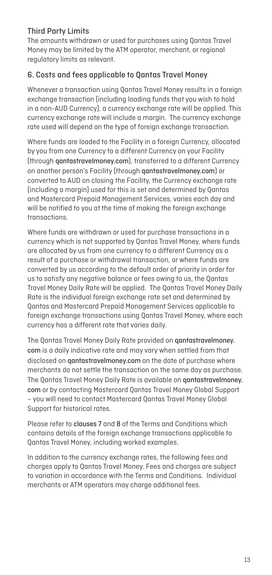## Third Party Limits

The amounts withdrawn or used for purchases using Qantas Travel Money may be limited by the ATM operator, merchant, or regional regulatory limits as relevant.

## 6. Costs and fees applicable to Qantas Travel Money

Whenever a transaction using Qantas Travel Money results in a foreign exchange transaction (including loading funds that you wish to hold in a non-AUD Currency), a currency exchange rate will be applied. This currency exchange rate will include a margin. The currency exchange rate used will depend on the type of foreign exchange transaction.

Where funds are loaded to the Facility in a foreign Currency, allocated by you from one Currency to a different Currency on your Facility (through qantastravelmoney.com), transferred to a different Currency on another person's Facility (through qantastravelmoney.com) or converted to AUD on closing the Facility, the Currency exchange rate (including a margin) used for this is set and determined by Qantas and Mastercard Prepaid Management Services, varies each day and will be notified to you at the time of making the foreign exchange transactions.

Where funds are withdrawn or used for purchase transactions in a currency which is not supported by Qantas Travel Money, where funds are allocated by us from one currency to a different Currency as a result of a purchase or withdrawal transaction, or where funds are converted by us according to the default order of priority in order for us to satisfy any negative balance or fees owing to us, the Qantas Travel Money Daily Rate will be applied. The Qantas Travel Money Daily Rate is the individual foreign exchange rate set and determined by Qantas and Mastercard Prepaid Management Services applicable to foreign exchange transactions using Qantas Travel Money, where each currency has a different rate that varies daily.

The Qantas Travel Money Daily Rate provided on qantastravelmoney. com is a daily indicative rate and may vary when settled from that disclosed on qantastravelmoney.com on the date of purchase where merchants do not settle the transaction on the same day as purchase. The Qantas Travel Money Daily Rate is available on qantastravelmoney. com or by contacting Mastercard Qantas Travel Money Global Support – you will need to contact Mastercard Qantas Travel Money Global Support for historical rates.

Please refer to clauses 7 and 8 of the Terms and Conditions which contains details of the foreign exchange transactions applicable to Qantas Travel Money, including worked examples.

In addition to the currency exchange rates, the following fees and charges apply to Qantas Travel Money. Fees and charges are subject to variation in accordance with the Terms and Conditions. Individual merchants or ATM operators may charge additional fees.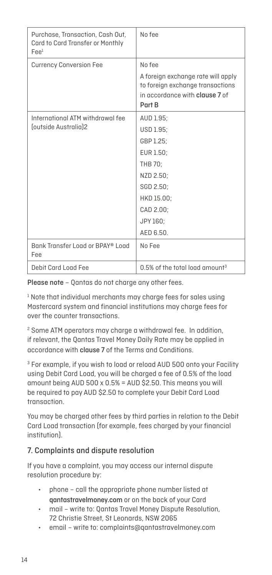| Purchase, Transaction, Cash Out.<br>Card to Card Transfer or Monthly<br>$\text{Fe}e1$ | No fee                                                                                                                    |  |  |
|---------------------------------------------------------------------------------------|---------------------------------------------------------------------------------------------------------------------------|--|--|
| <b>Currency Conversion Fee</b>                                                        | No fee                                                                                                                    |  |  |
|                                                                                       | A foreign exchange rate will apply<br>to foreign exchange transactions<br>in accordance with <b>clause 7</b> of<br>Part B |  |  |
| International ATM withdrawal fee                                                      | AUD 1.95:                                                                                                                 |  |  |
| foutside Australia12                                                                  | USD 1.95:                                                                                                                 |  |  |
|                                                                                       | GBP 1.25;                                                                                                                 |  |  |
|                                                                                       | EUR 1.50:                                                                                                                 |  |  |
|                                                                                       | THB 70:                                                                                                                   |  |  |
|                                                                                       | NZD 2.50:                                                                                                                 |  |  |
|                                                                                       | SGD 2.50:                                                                                                                 |  |  |
|                                                                                       | HKD 15.00;                                                                                                                |  |  |
|                                                                                       | CAD 2.00:                                                                                                                 |  |  |
|                                                                                       | JPY 160:                                                                                                                  |  |  |
|                                                                                       | AED 6.50.                                                                                                                 |  |  |
| Bank Transfer Load or BPAY® Load<br>Fee                                               | No Fee                                                                                                                    |  |  |
| Debit Card Load Fee                                                                   | $0.5\%$ of the total load amount <sup>3</sup>                                                                             |  |  |

Please note – Qantas do not charge any other fees.

<sup>1</sup> Note that individual merchants may charge fees for sales using Mastercard system and financial institutions may charge fees for over the counter transactions.

<sup>2</sup> Some ATM operators may charge a withdrawal fee. In addition, if relevant, the Qantas Travel Money Daily Rate may be applied in accordance with clause 7 of the Terms and Conditions.

<sup>3</sup> For example, if you wish to load or reload AUD 500 onto your Facility using Debit Card Load, you will be charged a fee of 0.5% of the load amount being AUD 500 x 0.5% = AUD \$2.50. This means you will be required to pay AUD \$2.50 to complete your Debit Card Load transaction.

You may be charged other fees by third parties in relation to the Debit Card Load transaction (for example, fees charged by your financial institution).

## 7. Complaints and dispute resolution

If you have a complaint, you may access our internal dispute resolution procedure by:

- phone call the appropriate phone number listed at qantastravelmoney.com or on the back of your Card
- mail write to: Qantas Travel Money Dispute Resolution, 72 Christie Street, St Leonards, NSW 2065
- email write to: complaints@qantastravelmoney.com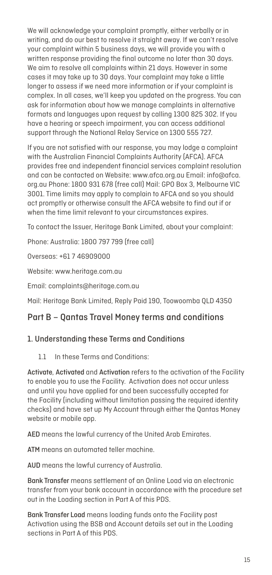We will acknowledge your complaint promptly, either verbally or in writing, and do our best to resolve it straight away. If we can't resolve your complaint within 5 business days, we will provide you with a written response providing the final outcome no later than 30 days. We aim to resolve all complaints within 21 days. However in some cases it may take up to 30 days. Your complaint may take a little longer to assess if we need more information or if your complaint is complex. In all cases, we'll keep you updated on the progress. You can ask for information about how we manage complaints in alternative formats and languages upon request by calling 1300 825 302. If you have a hearing or speech impairment, you can access additional support through the National Relay Service on 1300 555 727.

If you are not satisfied with our response, you may lodge a complaint with the Australian Financial Complaints Authority (AFCA). AFCA provides free and independent financial services complaint resolution and can be contacted on Website: www.afca.org.au Email: info@afca. org.au Phone: 1800 931 678 (free call) Mail: GPO Box 3, Melbourne VIC 3001. Time limits may apply to complain to AFCA and so you should act promptly or otherwise consult the AFCA website to find out if or when the time limit relevant to your circumstances expires.

To contact the Issuer, Heritage Bank Limited, about your complaint:

Phone: Australia: 1800 797 799 (free call)

Overseas: +61 7 46909000

Website: www.heritage.com.au

Email: complaints@heritage.com.au

Mail: Heritage Bank Limited, Reply Paid 190, Toowoomba QLD 4350

## Part B – Qantas Travel Money terms and conditions

#### 1. Understanding these Terms and Conditions

1.1 In these Terms and Conditions:

Activate, Activated and Activation refers to the activation of the Facility to enable you to use the Facility. Activation does not occur unless and until you have applied for and been successfully accepted for the Facility (including without limitation passing the required identity checks) and have set up My Account through either the Qantas Money website or mobile app.

AED means the lawful currency of the United Arab Emirates.

ATM means an automated teller machine.

AUD means the lawful currency of Australia.

Bank Transfer means settlement of an Online Load via an electronic transfer from your bank account in accordance with the procedure set out in the Loading section in Part A of this PDS.

Bank Transfer Load means loading funds onto the Facility post Activation using the BSB and Account details set out in the Loading sections in Part A of this PDS.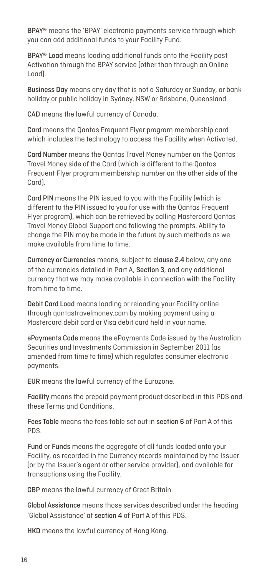BPAY® means the 'BPAY' electronic payments service through which you can add additional funds to your Facility Fund.

BPAY® Load means loading additional funds onto the Facility post Activation through the BPAY service (other than through an Online Load).

Business Day means any day that is not a Saturday or Sunday, or bank holiday or public holiday in Sydney, NSW or Brisbane, Queensland.

CAD means the lawful currency of Canada.

Card means the Qantas Frequent Flyer program membership card which includes the technology to access the Facility when Activated.

Card Number means the Qantas Travel Money number on the Qantas Travel Money side of the Card (which is different to the Qantas Frequent Flyer program membership number on the other side of the Card).

Card PIN means the PIN issued to you with the Facility (which is different to the PIN issued to you for use with the Qantas Frequent Flyer program), which can be retrieved by calling Mastercard Qantas Travel Money Global Support and following the prompts. Ability to change the PIN may be made in the future by such methods as we make available from time to time.

Currency or Currencies means, subject to clause 2.4 below, any one of the currencies detailed in Part A, Section 3, and any additional currency that we may make available in connection with the Facility from time to time.

Debit Card Load means loading or reloading your Facility online through qantastravelmoney.com by making payment using a Mastercard debit card or Visa debit card held in your name.

ePayments Code means the ePayments Code issued by the Australian Securities and Investments Commission in September 2011 (as amended from time to time) which regulates consumer electronic payments.

EUR means the lawful currency of the Eurozone.

Facility means the prepaid payment product described in this PDS and these Terms and Conditions.

Fees Table means the fees table set out in section 6 of Part A of this PDS.

Fund or Funds means the aggregate of all funds loaded onto your Facility, as recorded in the Currency records maintained by the Issuer (or by the Issuer's agent or other service provider), and available for transactions using the Facility.

GBP means the lawful currency of Great Britain.

Global Assistance means those services described under the heading 'Global Assistance' at section 4 of Part A of this PDS.

HKD means the lawful currency of Hong Kong.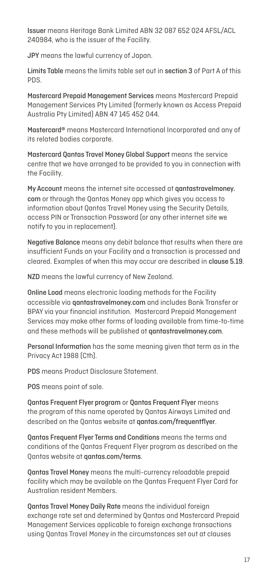Issuer means Heritage Bank Limited ABN 32 087 652 024 AFSL/ACL 240984, who is the issuer of the Facility.

JPY means the lawful currency of Japan.

Limits Table means the limits table set out in section 3 of Part A of this PDS.

Mastercard Prepaid Management Services means Mastercard Prepaid Management Services Pty Limited (formerly known as Access Prepaid Australia Pty Limited) ABN 47 145 452 044.

Mastercard® means Mastercard International Incorporated and any of its related bodies corporate.

Mastercard Qantas Travel Money Global Support means the service centre that we have arranged to be provided to you in connection with the Facility.

My Account means the internet site accessed at qantastravelmoney. com or through the Qantas Money app which gives you access to information about Qantas Travel Money using the Security Details, access PIN or Transaction Password (or any other internet site we notify to you in replacement).

Negative Balance means any debit balance that results when there are insufficient Funds on your Facility and a transaction is processed and cleared. Examples of when this may occur are described in clause 5.19.

NZD means the lawful currency of New Zealand.

Online Load means electronic loading methods for the Facility accessible via qantastravelmoney.com and includes Bank Transfer or BPAY via your financial institution. Mastercard Prepaid Management Services may make other forms of loading available from time-to-time and these methods will be published at qantastravelmoney.com.

Personal Information has the same meaning given that term as in the Privacy Act 1988 (Cth).

PDS means Product Disclosure Statement.

POS means point of sale.

Qantas Frequent Flyer program or Qantas Frequent Flyer means the program of this name operated by Qantas Airways Limited and described on the Qantas website at qantas.com/frequentflyer.

Qantas Frequent Flyer Terms and Conditions means the terms and conditions of the Qantas Frequent Flyer program as described on the Qantas website at qantas.com/terms.

Qantas Travel Money means the multi-currency reloadable prepaid facility which may be available on the Qantas Frequent Flyer Card for Australian resident Members.

Qantas Travel Money Daily Rate means the individual foreign exchange rate set and determined by Qantas and Mastercard Prepaid Management Services applicable to foreign exchange transactions using Qantas Travel Money in the circumstances set out at clauses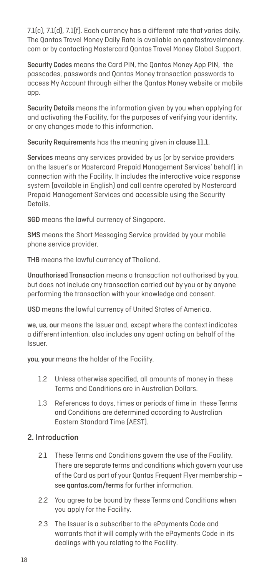7.1(c), 7.1(d), 7.1(f). Each currency has a different rate that varies daily. The Qantas Travel Money Daily Rate is available on qantastravelmoney. com or by contacting Mastercard Qantas Travel Money Global Support.

Security Codes means the Card PIN, the Qantas Money App PIN, the passcodes, passwords and Qantas Money transaction passwords to access My Account through either the Qantas Money website or mobile app.

Security Details means the information given by you when applying for and activating the Facility, for the purposes of verifying your identity, or any changes made to this information.

Security Requirements has the meaning given in clause 11.1.

Services means any services provided by us (or by service providers on the Issuer's or Mastercard Prepaid Management Services' behalf) in connection with the Facility. It includes the interactive voice response system (available in English) and call centre operated by Mastercard Prepaid Management Services and accessible using the Security Details.

SGD means the lawful currency of Singapore.

SMS means the Short Messaging Service provided by your mobile phone service provider.

THB means the lawful currency of Thailand.

Unauthorised Transaction means a transaction not authorised by you, but does not include any transaction carried out by you or by anyone performing the transaction with your knowledge and consent.

USD means the lawful currency of United States of America.

we, us, our means the Issuer and, except where the context indicates a different intention, also includes any agent acting on behalf of the Issuer.

you, your means the holder of the Facility.

- 1.2 Unless otherwise specified, all amounts of money in these Terms and Conditions are in Australian Dollars.
- 1.3 References to days, times or periods of time in these Terms and Conditions are determined according to Australian Eastern Standard Time (AEST).

## 2. Introduction

- 2.1 These Terms and Conditions govern the use of the Facility. There are separate terms and conditions which govern your use of the Card as part of your Qantas Frequent Flyer membership – see qantas.com/terms for further information.
- 2.2 You agree to be bound by these Terms and Conditions when you apply for the Facility.
- 2.3 The Issuer is a subscriber to the ePayments Code and warrants that it will comply with the ePayments Code in its dealings with you relating to the Facility.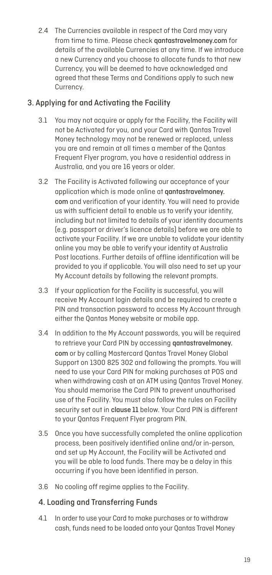2.4 The Currencies available in respect of the Card may vary from time to time. Please check qantastravelmoney.com for details of the available Currencies at any time. If we introduce a new Currency and you choose to allocate funds to that new Currency, you will be deemed to have acknowledged and agreed that these Terms and Conditions apply to such new Currency.

## 3. Applying for and Activating the Facility

- 3.1 You may not acquire or apply for the Facility, the Facility will not be Activated for you, and your Card with Qantas Travel Money technology may not be renewed or replaced, unless you are and remain at all times a member of the Qantas Frequent Flyer program, you have a residential address in Australia, and you are 16 years or older.
- 3.2 The Facility is Activated following our acceptance of your application which is made online at qantastravelmoney. com and verification of your identity. You will need to provide us with sufficient detail to enable us to verify your identity, including but not limited to details of your identity documents (e.g. passport or driver's licence details) before we are able to activate your Facility. If we are unable to validate your identity online you may be able to verify your identity at Australia Post locations. Further details of offline identification will be provided to you if applicable. You will also need to set up your My Account details by following the relevant prompts.
- 3.3 If your application for the Facility is successful, you will receive My Account login details and be required to create a PIN and transaction password to access My Account through either the Qantas Money website or mobile app.
- 3.4 In addition to the My Account passwords, you will be required to retrieve your Card PIN by accessing qantastravelmoney. com or by calling Mastercard Qantas Travel Money Global Support on 1300 825 302 and following the prompts. You will need to use your Card PIN for making purchases at POS and when withdrawing cash at an ATM using Qantas Travel Money. You should memorise the Card PIN to prevent unauthorised use of the Facility. You must also follow the rules on Facility security set out in clause 11 below. Your Card PIN is different to your Qantas Frequent Flyer program PIN.
- 3.5 Once you have successfully completed the online application process, been positively identified online and/or in-person, and set up My Account, the Facility will be Activated and you will be able to load funds. There may be a delay in this occurring if you have been identified in person.
- 3.6 No cooling off regime applies to the Facility.

## 4. Loading and Transferring Funds

4.1 In order to use your Card to make purchases or to withdraw cash, funds need to be loaded onto your Qantas Travel Money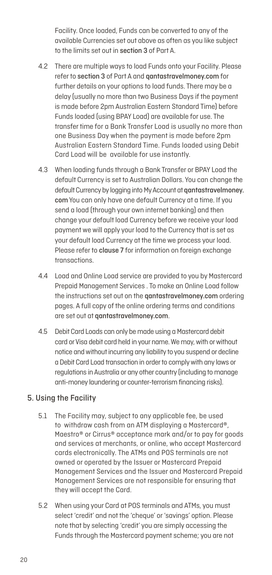Facility. Once loaded, Funds can be converted to any of the available Currencies set out above as often as you like subject to the limits set out in section 3 of Part A.

- 4.2 There are multiple ways to load Funds onto your Facility. Please refer to section 3 of Part A and qantastravelmoney.com for further details on your options to load funds. There may be a delay (usually no more than two Business Days if the payment is made before 2pm Australian Eastern Standard Time) before Funds loaded (using BPAY Load) are available for use. The transfer time for a Bank Transfer Load is usually no more than one Business Day when the payment is made before 2pm Australian Eastern Standard Time. Funds loaded using Debit Card Load will be available for use instantly.
- 4.3 When loading funds through a Bank Transfer or BPAY Load the default Currency is set to Australian Dollars. You can change the default Currency by logging into My Account at qantastravelmoney. com You can only have one default Currency at a time. If you send a load (through your own internet banking) and then change your default load Currency before we receive your load payment we will apply your load to the Currency that is set as your default load Currency at the time we process your load. Please refer to clause 7 for information on foreign exchange transactions.
- 4.4 Load and Online Load service are provided to you by Mastercard Prepaid Management Services . To make an Online Load follow the instructions set out on the qantastravelmoney.com ordering pages. A full copy of the online ordering terms and conditions are set out at qantastravelmoney.com.
- 4.5 Debit Card Loads can only be made using a Mastercard debit card or Visa debit card held in your name. We may, with or without notice and without incurring any liability to you suspend or decline a Debit Card Load transaction in order to comply with any laws or regulations in Australia or any other country (including to manage anti-money laundering or counter-terrorism financing risks).

## 5. Using the Facility

- 5.1 The Facility may, subject to any applicable fee, be used to withdraw cash from an ATM displaying a Mastercard®, Maestro® or Cirrus® acceptance mark and/or to pay for goods and services at merchants, or online, who accept Mastercard cards electronically. The ATMs and POS terminals are not owned or operated by the Issuer or Mastercard Prepaid Management Services and the Issuer and Mastercard Prepaid Management Services are not responsible for ensuring that they will accept the Card.
- 5.2 When using your Card at POS terminals and ATMs, you must select 'credit' and not the 'cheque' or 'savings' option. Please note that by selecting 'credit' you are simply accessing the Funds through the Mastercard payment scheme; you are not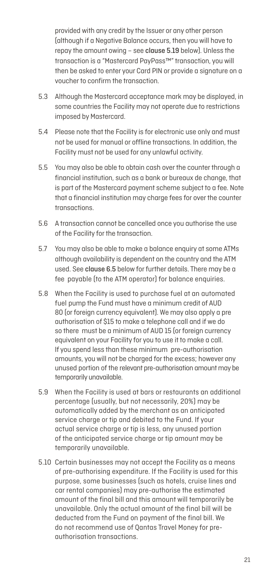provided with any credit by the Issuer or any other person (although if a Negative Balance occurs, then you will have to repay the amount owing – see clause 5.19 below). Unless the transaction is a "Mastercard PayPass™" transaction, you will then be asked to enter your Card PIN or provide a signature on a voucher to confirm the transaction.

- 5.3 Although the Mastercard acceptance mark may be displayed, in some countries the Facility may not operate due to restrictions imposed by Mastercard.
- 5.4 Please note that the Facility is for electronic use only and must not be used for manual or offline transactions. In addition, the Facility must not be used for any unlawful activity.
- 5.5 You may also be able to obtain cash over the counter through a financial institution, such as a bank or bureaux de change, that is part of the Mastercard payment scheme subject to a fee. Note that a financial institution may charge fees for over the counter transactions.
- 5.6 A transaction cannot be cancelled once you authorise the use of the Facility for the transaction.
- 5.7 You may also be able to make a balance enquiry at some ATMs although availability is dependent on the country and the ATM used. See clause 6.5 below for further details. There may be a fee payable (to the ATM operator) for balance enquiries.
- 5.8 When the Facility is used to purchase fuel at an automated fuel pump the Fund must have a minimum credit of AUD 80 (or foreign currency equivalent). We may also apply a pre authorisation of \$15 to make a telephone call and if we do so there must be a minimum of AUD 15 (or foreign currency equivalent on your Facility for you to use it to make a call. If you spend less than these minimum pre-authorisation amounts, you will not be charged for the excess; however any unused portion of the relevant pre-authorisation amount may be temporarily unavailable.
- 5.9 When the Facility is used at bars or restaurants an additional percentage (usually, but not necessarily, 20%) may be automatically added by the merchant as an anticipated service charge or tip and debited to the Fund. If your actual service charge or tip is less, any unused portion of the anticipated service charge or tip amount may be temporarily unavailable.
- 5.10 Certain businesses may not accept the Facility as a means of pre-authorising expenditure. If the Facility is used for this purpose, some businesses (such as hotels, cruise lines and car rental companies) may pre-authorise the estimated amount of the final bill and this amount will temporarily be unavailable. Only the actual amount of the final bill will be deducted from the Fund on payment of the final bill. We do not recommend use of Qantas Travel Money for preauthorisation transactions.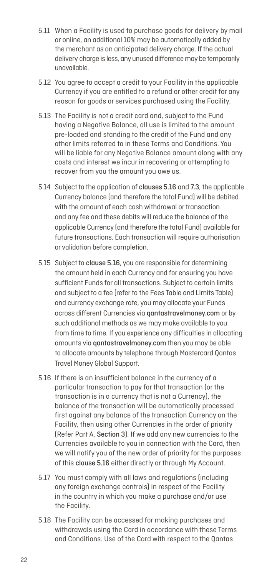- 5.11 When a Facility is used to purchase goods for delivery by mail or online, an additional 10% may be automatically added by the merchant as an anticipated delivery charge. If the actual delivery charge is less, any unused difference may be temporarily unavailable.
- 5.12 You agree to accept a credit to your Facility in the applicable Currency if you are entitled to a refund or other credit for any reason for goods or services purchased using the Facility.
- 5.13 The Facility is not a credit card and, subject to the Fund having a Negative Balance, all use is limited to the amount pre-loaded and standing to the credit of the Fund and any other limits referred to in these Terms and Conditions. You will be liable for any Negative Balance amount along with any costs and interest we incur in recovering or attempting to recover from you the amount you owe us.
- 5.14 Subject to the application of clauses 5.16 and 7.3, the applicable Currency balance (and therefore the total Fund) will be debited with the amount of each cash withdrawal or transaction and any fee and these debits will reduce the balance of the applicable Currency (and therefore the total Fund) available for future transactions. Each transaction will require authorisation or validation before completion.
- 5.15 Subject to clause 5.16, you are responsible for determining the amount held in each Currency and for ensuring you have sufficient Funds for all transactions. Subject to certain limits and subject to a fee (refer to the Fees Table and Limits Table) and currency exchange rate, you may allocate your Funds across different Currencies via qantastravelmoney.com or by such additional methods as we may make available to you from time to time. If you experience any difficulties in allocating amounts via qantastravelmoney.com then you may be able to allocate amounts by telephone through Mastercard Qantas Travel Money Global Support.
- 5.16 If there is an insufficient balance in the currency of a particular transaction to pay for that transaction (or the transaction is in a currency that is not a Currency), the balance of the transaction will be automatically processed first against any balance of the transaction Currency on the Facility, then using other Currencies in the order of priority (Refer Part A, Section 3). If we add any new currencies to the Currencies available to you in connection with the Card, then we will notify you of the new order of priority for the purposes of this clause 5.16 either directly or through My Account.
- 5.17 You must comply with all laws and regulations (including any foreign exchange controls) in respect of the Facility in the country in which you make a purchase and/or use the Facility.
- 5.18 The Facility can be accessed for making purchases and withdrawals using the Card in accordance with these Terms and Conditions. Use of the Card with respect to the Qantas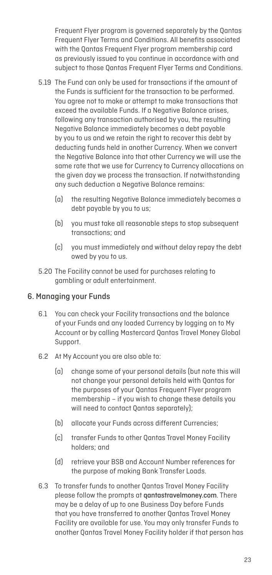Frequent Flyer program is governed separately by the Qantas Frequent Flyer Terms and Conditions. All benefits associated with the Qantas Frequent Flyer program membership card as previously issued to you continue in accordance with and subject to those Qantas Frequent Flyer Terms and Conditions.

- 5.19 The Fund can only be used for transactions if the amount of the Funds is sufficient for the transaction to be performed. You agree not to make or attempt to make transactions that exceed the available Funds. If a Negative Balance arises, following any transaction authorised by you, the resulting Negative Balance immediately becomes a debt payable by you to us and we retain the right to recover this debt by deducting funds held in another Currency. When we convert the Negative Balance into that other Currency we will use the same rate that we use for Currency to Currency allocations on the given day we process the transaction. If notwithstanding any such deduction a Negative Balance remains:
	- (a) the resulting Negative Balance immediately becomes a debt payable by you to us;
	- (b) you must take all reasonable steps to stop subsequent transactions; and
	- (c) you must immediately and without delay repay the debt owed by you to us.
- 5.20 The Facility cannot be used for purchases relating to gambling or adult entertainment.

#### 6. Managing your Funds

- 6.1 You can check your Facility transactions and the balance of your Funds and any loaded Currency by logging on to My Account or by calling Mastercard Qantas Travel Money Global Support.
- 6.2 At My Account you are also able to:
	- (a) change some of your personal details (but note this will not change your personal details held with Qantas for the purposes of your Qantas Frequent Flyer program membership – if you wish to change these details you will need to contact Qantas separately);
	- (b) allocate your Funds across different Currencies;
	- (c) transfer Funds to other Qantas Travel Money Facility holders; and
	- (d) retrieve your BSB and Account Number references for the purpose of making Bank Transfer Loads.
- 6.3 To transfer funds to another Qantas Travel Money Facility please follow the prompts at qantastravelmoney.com. There may be a delay of up to one Business Day before Funds that you have transferred to another Qantas Travel Money Facility are available for use. You may only transfer Funds to another Qantas Travel Money Facility holder if that person has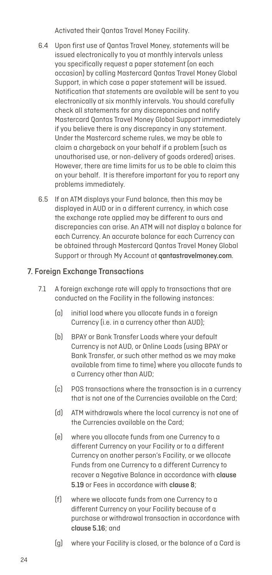Activated their Qantas Travel Money Facility.

- 6.4 Upon first use of Qantas Travel Money, statements will be issued electronically to you at monthly intervals unless you specifically request a paper statement (on each occasion) by calling Mastercard Qantas Travel Money Global Support, in which case a paper statement will be issued. Notification that statements are available will be sent to you electronically at six monthly intervals. You should carefully check all statements for any discrepancies and notify Mastercard Qantas Travel Money Global Support immediately if you believe there is any discrepancy in any statement. Under the Mastercard scheme rules, we may be able to claim a chargeback on your behalf if a problem (such as unauthorised use, or non-delivery of goods ordered) arises. However, there are time limits for us to be able to claim this on your behalf. It is therefore important for you to report any problems immediately.
- 6.5 If an ATM displays your Fund balance, then this may be displayed in AUD or in a different currency, in which case the exchange rate applied may be different to ours and discrepancies can arise. An ATM will not display a balance for each Currency. An accurate balance for each Currency can be obtained through Mastercard Qantas Travel Money Global Support or through My Account at qantastravelmoney.com.

## 7. Foreign Exchange Transactions

- 7.1 A foreign exchange rate will apply to transactions that are conducted on the Facility in the following instances:
	- (a) initial load where you allocate funds in a foreign Currency (i.e. in a currency other than AUD);
	- (b) BPAY or Bank Transfer Loads where your default Currency is not AUD, or Online Loads (using BPAY or Bank Transfer, or such other method as we may make available from time to time) where you allocate funds to a Currency other than AUD;
	- (c) POS transactions where the transaction is in a currency that is not one of the Currencies available on the Card;
	- (d) ATM withdrawals where the local currency is not one of the Currencies available on the Card;
	- (e) where you allocate funds from one Currency to a different Currency on your Facility or to a different Currency on another person's Facility, or we allocate Funds from one Currency to a different Currency to recover a Negative Balance in accordance with clause 5.19 or Fees in accordance with clause 8;
	- (f) where we allocate funds from one Currency to a different Currency on your Facility because of a purchase or withdrawal transaction in accordance with clause 5.16; and
	- (g) where your Facility is closed, or the balance of a Card is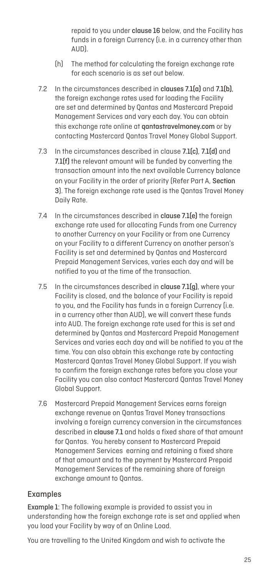repaid to you under clause 16 below, and the Facility has funds in a foreign Currency (i.e. in a currency other than AUD).

- (h) The method for calculating the foreign exchange rate for each scenario is as set out below.
- 7.2 In the circumstances described in clauses 7.1(a) and 7.1(b), the foreign exchange rates used for loading the Facility are set and determined by Qantas and Mastercard Prepaid Management Services and vary each day. You can obtain this exchange rate online at **gantastravelmoney.com** or by contacting Mastercard Qantas Travel Money Global Support.
- 7.3 In the circumstances described in clause 7.1(c), 7.1(d) and 7.1(f) the relevant amount will be funded by converting the transaction amount into the next available Currency balance on your Facility in the order of priority (Refer Part A, Section 3). The foreign exchange rate used is the Oantas Travel Money Daily Rate.
- 7.4 In the circumstances described in clause 7.1(e) the foreign exchange rate used for allocating Funds from one Currency to another Currency on your Facility or from one Currency on your Facility to a different Currency on another person's Facility is set and determined by Qantas and Mastercard Prepaid Management Services, varies each day and will be notified to you at the time of the transaction.
- 7.5 In the circumstances described in clause 7.1(g), where your Facility is closed, and the balance of your Facility is repaid to you, and the Facility has funds in a foreign Currency (i.e. in a currency other than AUD), we will convert these funds into AUD. The foreign exchange rate used for this is set and determined by Qantas and Mastercard Prepaid Management Services and varies each day and will be notified to you at the time. You can also obtain this exchange rate by contacting Mastercard Qantas Travel Money Global Support. If you wish to confirm the foreign exchange rates before you close your Facility you can also contact Mastercard Qantas Travel Money Global Support.
- 7.6 Mastercard Prepaid Management Services earns foreign exchange revenue on Qantas Travel Money transactions involving a foreign currency conversion in the circumstances described in clause 7.1 and holds a fixed share of that amount for Qantas. You hereby consent to Mastercard Prepaid Management Services earning and retaining a fixed share of that amount and to the payment by Mastercard Prepaid Management Services of the remaining share of foreign exchange amount to Qantas.

## Examples

Example 1: The following example is provided to assist you in understanding how the foreign exchange rate is set and applied when you load your Facility by way of an Online Load.

You are travelling to the United Kingdom and wish to activate the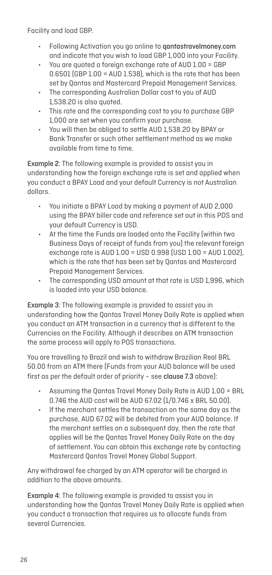Facility and load GBP.

- Following Activation you go online to qantastravelmoney.com and indicate that you wish to load GBP 1,000 into your Facility.
- You are quoted a foreign exchange rate of AUD 1.00 = GBP 0.6501 (GBP 1.00 = AUD 1.538), which is the rate that has been set by Qantas and Mastercard Prepaid Management Services.
- The corresponding Australian Dollar cost to you of AUD 1,538.20 is also quoted.
- This rate and the corresponding cost to you to purchase GBP 1,000 are set when you confirm your purchase.
- You will then be obliged to settle AUD 1,538.20 by BPAY or Bank Transfer or such other settlement method as we make available from time to time.

Example 2: The following example is provided to assist you in understanding how the foreign exchange rate is set and applied when you conduct a BPAY Load and your default Currency is not Australian dollars.

- You initiate a BPAY Load by making a payment of AUD 2,000 using the BPAY biller code and reference set out in this PDS and your default Currency is USD.
- At the time the Funds are loaded onto the Facility (within two Business Days of receipt of funds from you) the relevant foreign exchange rate is AUD 1.00 = USD 0.998 (USD 1.00 = AUD 1.002), which is the rate that has been set by Qantas and Mastercard Prepaid Management Services.
- The corresponding USD amount at that rate is USD 1,996, which is loaded into your USD balance.

Example 3: The following example is provided to assist you in understanding how the Qantas Travel Money Daily Rate is applied when you conduct an ATM transaction in a currency that is different to the Currencies on the Facility. Although it describes an ATM transaction the same process will apply to POS transactions.

You are travelling to Brazil and wish to withdraw Brazilian Real BRL 50.00 from an ATM there (Funds from your AUD balance will be used first as per the default order of priority – see clause 7.3 above):

- Assuming the Qantas Travel Money Daily Rate is AUD 1.00 = BRL 0.746 the AUD cost will be AUD 67.02 (1/0.746 x BRL 50.00).
- If the merchant settles the transaction on the same day as the purchase, AUD 67.02 will be debited from your AUD balance. If the merchant settles on a subsequent day, then the rate that applies will be the Qantas Travel Money Daily Rate on the day of settlement. You can obtain this exchange rate by contacting Mastercard Qantas Travel Money Global Support.

Any withdrawal fee charged by an ATM operator will be charged in addition to the above amounts.

Example 4: The following example is provided to assist you in understanding how the Qantas Travel Money Daily Rate is applied when you conduct a transaction that requires us to allocate funds from several Currencies.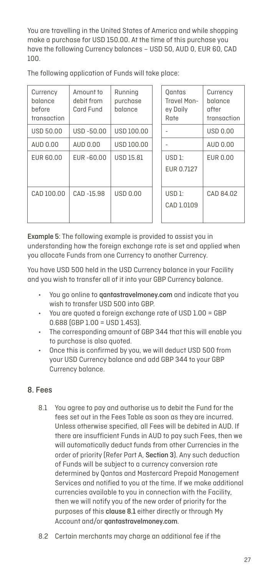You are travelling in the United States of America and while shopping make a purchase for USD 150.00. At the time of this purchase you have the following Currency balances – USD 50, AUD 0, EUR 60, CAD 100.

The following application of Funds will take place:

| Currency<br>balance<br>before<br>transaction | Amount to<br>debit from<br>Card Fund | Running<br>purchase<br>balance | Qantas<br>Travel Mon-<br>ey Daily<br>Rate | Currency<br>balance<br>after<br>transaction |
|----------------------------------------------|--------------------------------------|--------------------------------|-------------------------------------------|---------------------------------------------|
| <b>USD 50.00</b>                             | USD-50.00                            | USD 100.00                     |                                           | <b>USD 0.00</b>                             |
| AUD 0.00                                     | AUD 0.00                             | USD 100.00                     |                                           | AUD 0.00                                    |
| EUR 60.00                                    | EUR-60.00                            | <b>USD 15.81</b>               | USD1:<br>EUR 0.7127                       | EUR 0.00                                    |
| CAD 100.00                                   | CAD-15.98                            | <b>USD 0.00</b>                | $USD1$ :<br>CAD 1.0109                    | CAD 84.02                                   |

Example 5: The following example is provided to assist you in understanding how the foreign exchange rate is set and applied when you allocate Funds from one Currency to another Currency.

You have USD 500 held in the USD Currency balance in your Facility and you wish to transfer all of it into your GBP Currency balance.

- You go online to **gantastravelmoney.com** and indicate that you wish to transfer USD 500 into GBP.
- You are quoted a foreign exchange rate of USD 1.00 = GBP 0.688 (GBP 1.00 = USD 1.453).
- The corresponding amount of GBP 344 that this will enable you to purchase is also quoted.
- Once this is confirmed by you, we will deduct USD 500 from your USD Currency balance and add GBP 344 to your GBP Currency balance.

## 8. Fees

- 8.1 You agree to pay and authorise us to debit the Fund for the fees set out in the Fees Table as soon as they are incurred. Unless otherwise specified, all Fees will be debited in AUD. If there are insufficient Funds in AUD to pay such Fees, then we will automatically deduct funds from other Currencies in the order of priority (Refer Part A, Section 3). Any such deduction of Funds will be subject to a currency conversion rate determined by Qantas and Mastercard Prepaid Management Services and notified to you at the time. If we make additional currencies available to you in connection with the Facility, then we will notify you of the new order of priority for the purposes of this clause 8.1 either directly or through My Account and/or qantastravelmoney.com.
- 8.2 Certain merchants may charge an additional fee if the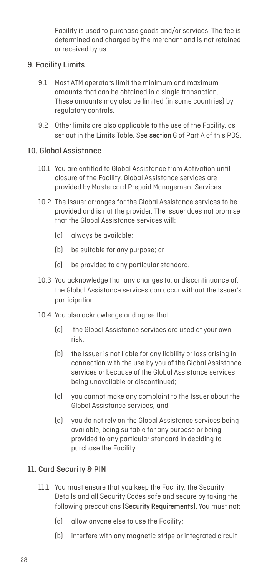Facility is used to purchase goods and/or services. The fee is determined and charged by the merchant and is not retained or received by us.

## 9. Facility Limits

- 9.1 Most ATM operators limit the minimum and maximum amounts that can be obtained in a single transaction. These amounts may also be limited (in some countries) by regulatory controls.
- 9.2 Other limits are also applicable to the use of the Facility, as set out in the Limits Table. See section 6 of Part A of this PDS.

## 10. Global Assistance

- 10.1 You are entitled to Global Assistance from Activation until closure of the Facility. Global Assistance services are provided by Mastercard Prepaid Management Services.
- 10.2 The Issuer arranges for the Global Assistance services to be provided and is not the provider. The Issuer does not promise that the Global Assistance services will:
	- (a) always be available;
	- (b) be suitable for any purpose; or
	- (c) be provided to any particular standard.
- 10.3 You acknowledge that any changes to, or discontinuance of, the Global Assistance services can occur without the Issuer's participation.
- 10.4 You also acknowledge and agree that:
	- (a) the Global Assistance services are used at your own risk;
	- (b) the Issuer is not liable for any liability or loss arising in connection with the use by you of the Global Assistance services or because of the Global Assistance services being unavailable or discontinued;
	- (c) you cannot make any complaint to the Issuer about the Global Assistance services; and
	- (d) you do not rely on the Global Assistance services being available, being suitable for any purpose or being provided to any particular standard in deciding to purchase the Facility.

## 11. Card Security & PIN

- 11.1 You must ensure that you keep the Facility, the Security Details and all Security Codes safe and secure by taking the following precautions (Security Requirements). You must not:
	- (a) allow anyone else to use the Facility;
	- (b) interfere with any magnetic stripe or integrated circuit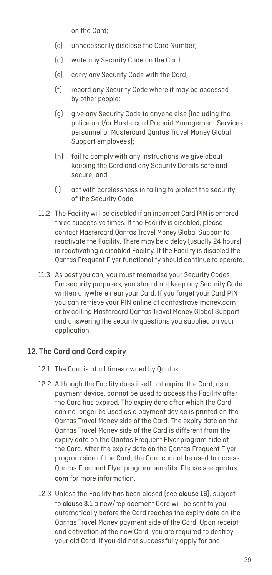on the Card;

- (c) unnecessarily disclose the Card Number;
- (d) write any Security Code on the Card;
- (e) carry any Security Code with the Card;
- (f) record any Security Code where it may be accessed by other people;
- (g) give any Security Code to anyone else (including the police and/or Mastercard Prepaid Management Services personnel or Mastercard Qantas Travel Money Global Support employees);
- (h) fail to comply with any instructions we give about keeping the Card and any Security Details safe and secure; and
- (i) act with carelessness in failing to protect the security of the Security Code.
- 11.2 The Facility will be disabled if an incorrect Card PIN is entered three successive times. If the Facility is disabled, please contact Mastercard Qantas Travel Money Global Support to reactivate the Facility. There may be a delay (usually 24 hours) in reactivating a disabled Facility. If the Facility is disabled the Qantas Frequent Flyer functionality should continue to operate.
- 11.3 As best you can, you must memorise your Security Codes. For security purposes, you should not keep any Security Code written anywhere near your Card. If you forget your Card PIN you can retrieve your PIN online at qantastravelmoney.com or by calling Mastercard Qantas Travel Money Global Support and answering the security questions you supplied on your application.

## 12. The Card and Card expiry

- 12.1 The Card is at all times owned by Qantas.
- 12.2 Although the Facility does itself not expire, the Card, as a payment device, cannot be used to access the Facility after the Card has expired. The expiry date after which the Card can no longer be used as a payment device is printed on the Qantas Travel Money side of the Card. The expiry date on the Qantas Travel Money side of the Card is different from the expiry date on the Qantas Frequent Flyer program side of the Card. After the expiry date on the Qantas Frequent Flyer program side of the Card, the Card cannot be used to access Qantas Frequent Flyer program benefits. Please see qantas. com for more information.
- 12.3 Unless the Facility has been closed (see clause 16), subject to clause 3.1 a new/replacement Card will be sent to you automatically before the Card reaches the expiry date on the Qantas Travel Money payment side of the Card. Upon receipt and activation of the new Card, you are required to destroy your old Card. If you did not successfully apply for and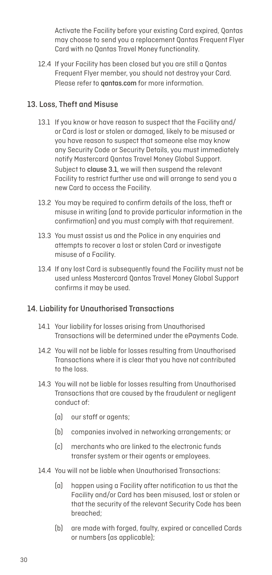Activate the Facility before your existing Card expired, Qantas may choose to send you a replacement Qantas Frequent Flyer Card with no Qantas Travel Money functionality.

12.4 If your Facility has been closed but you are still a Qantas Frequent Flyer member, you should not destroy your Card. Please refer to **gantas.com** for more information.

#### 13. Loss, Theft and Misuse

- 13.1 If you know or have reason to suspect that the Facility and/ or Card is lost or stolen or damaged, likely to be misused or you have reason to suspect that someone else may know any Security Code or Security Details, you must immediately notify Mastercard Qantas Travel Money Global Support. Subject to clause 3.1, we will then suspend the relevant Facility to restrict further use and will arrange to send you a new Card to access the Facility.
- 13.2 You may be required to confirm details of the loss, theft or misuse in writing (and to provide particular information in the confirmation) and you must comply with that requirement.
- 13.3 You must assist us and the Police in any enquiries and attempts to recover a lost or stolen Card or investigate misuse of a Facility.
- 13.4 If any lost Card is subsequently found the Facility must not be used unless Mastercard Qantas Travel Money Global Support confirms it may be used.

## 14. Liability for Unauthorised Transactions

- 14.1 Your liability for losses arising from Unauthorised Transactions will be determined under the ePayments Code.
- 14.2 You will not be liable for losses resulting from Unauthorised Transactions where it is clear that you have not contributed to the loss.
- 14.3 You will not be liable for losses resulting from Unauthorised Transactions that are caused by the fraudulent or negligent conduct of:
	- (a) our staff or agents;
	- (b) companies involved in networking arrangements; or
	- (c) merchants who are linked to the electronic funds transfer system or their agents or employees.
- 14.4 You will not be liable when Unauthorised Transactions:
	- (a) happen using a Facility after notification to us that the Facility and/or Card has been misused, lost or stolen or that the security of the relevant Security Code has been breached;
	- (b) are made with forged, faulty, expired or cancelled Cards or numbers (as applicable);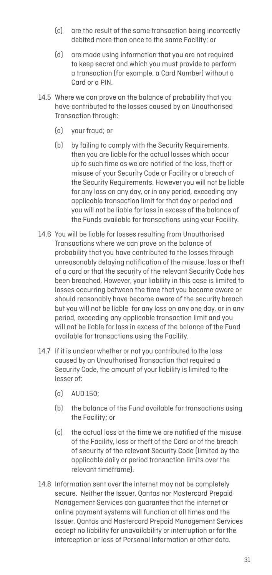- (c) are the result of the same transaction being incorrectly debited more than once to the same Facility; or
- (d) are made using information that you are not required to keep secret and which you must provide to perform a transaction (for example, a Card Number) without a Card or a PIN.
- 14.5 Where we can prove on the balance of probability that you have contributed to the losses caused by an Unauthorised Transaction through:
	- (a) your fraud; or
	- (b) by failing to comply with the Security Requirements, then you are liable for the actual losses which occur up to such time as we are notified of the loss, theft or misuse of your Security Code or Facility or a breach of the Security Requirements. However you will not be liable for any loss on any day, or in any period, exceeding any applicable transaction limit for that day or period and you will not be liable for loss in excess of the balance of the Funds available for transactions using your Facility.
- 14.6 You will be liable for losses resulting from Unauthorised Transactions where we can prove on the balance of probability that you have contributed to the losses through unreasonably delaying notification of the misuse, loss or theft of a card or that the security of the relevant Security Code has been breached. However, your liability in this case is limited to losses occurring between the time that you became aware or should reasonably have become aware of the security breach but you will not be liable for any loss on any one day, or in any period, exceeding any applicable transaction limit and you will not be liable for loss in excess of the balance of the Fund available for transactions using the Facility.
- 14.7 If it is unclear whether or not you contributed to the loss caused by an Unauthorised Transaction that required a Security Code, the amount of your liability is limited to the lesser of:
	- (a) AUD 150;
	- (b) the balance of the Fund available for transactions using the Facility; or
	- (c) the actual loss at the time we are notified of the misuse of the Facility, loss or theft of the Card or of the breach of security of the relevant Security Code (limited by the applicable daily or period transaction limits over the relevant timeframe).
- 14.8 Information sent over the internet may not be completely secure. Neither the Issuer, Qantas nor Mastercard Prepaid Management Services can guarantee that the internet or online payment systems will function at all times and the Issuer, Qantas and Mastercard Prepaid Management Services accept no liability for unavailability or interruption or for the interception or loss of Personal Information or other data.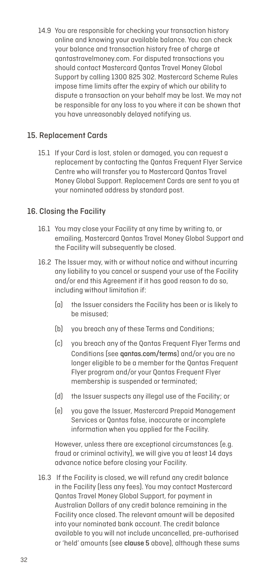14.9 You are responsible for checking your transaction history online and knowing your available balance. You can check your balance and transaction history free of charge at qantastravelmoney.com. For disputed transactions you should contact Mastercard Qantas Travel Money Global Support by calling 1300 825 302. Mastercard Scheme Rules impose time limits after the expiry of which our ability to dispute a transaction on your behalf may be lost. We may not be responsible for any loss to you where it can be shown that you have unreasonably delayed notifying us.

#### 15. Replacement Cards

15.1 If your Card is lost, stolen or damaged, you can request a replacement by contacting the Qantas Frequent Flyer Service Centre who will transfer you to Mastercard Qantas Travel Money Global Support. Replacement Cards are sent to you at your nominated address by standard post.

#### 16. Closing the Facility

- 16.1 You may close your Facility at any time by writing to, or emailing, Mastercard Qantas Travel Money Global Support and the Facility will subsequently be closed.
- 16.2 The Issuer may, with or without notice and without incurring any liability to you cancel or suspend your use of the Facility and/or end this Agreement if it has good reason to do so, including without limitation if:
	- (a) the Issuer considers the Facility has been or is likely to be misused;
	- (b) you breach any of these Terms and Conditions;
	- (c) you breach any of the Qantas Frequent Flyer Terms and Conditions (see qantas.com/terms) and/or you are no longer eligible to be a member for the Qantas Frequent Flyer program and/or your Qantas Frequent Flyer membership is suspended or terminated;
	- (d) the Issuer suspects any illegal use of the Facility; or
	- (e) you gave the Issuer, Mastercard Prepaid Management Services or Qantas false, inaccurate or incomplete information when you applied for the Facility.

However, unless there are exceptional circumstances (e.g. fraud or criminal activity), we will give you at least 14 days advance notice before closing your Facility.

16.3 If the Facility is closed, we will refund any credit balance in the Facility (less any fees). You may contact Mastercard Qantas Travel Money Global Support, for payment in Australian Dollars of any credit balance remaining in the Facility once closed. The relevant amount will be deposited into your nominated bank account. The credit balance available to you will not include uncancelled, pre-authorised or 'held' amounts (see clause 5 above), although these sums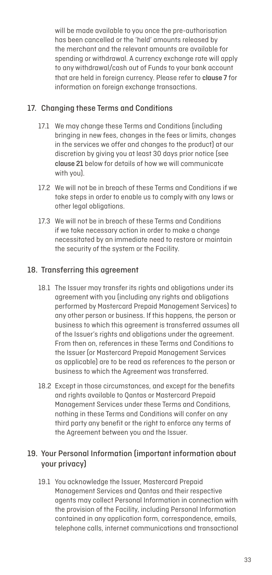will be made available to you once the pre-authorisation has been cancelled or the 'held' amounts released by the merchant and the relevant amounts are available for spending or withdrawal. A currency exchange rate will apply to any withdrawal/cash out of Funds to your bank account that are held in foreign currency. Please refer to clause 7 for information on foreign exchange transactions.

## 17. Changing these Terms and Conditions

- 17.1 We may change these Terms and Conditions (including bringing in new fees, changes in the fees or limits, changes in the services we offer and changes to the product) at our discretion by giving you at least 30 days prior notice (see clause 21 below for details of how we will communicate with you).
- 17.2 We will not be in breach of these Terms and Conditions if we take steps in order to enable us to comply with any laws or other legal obligations.
- 17.3 We will not be in breach of these Terms and Conditions if we take necessary action in order to make a change necessitated by an immediate need to restore or maintain the security of the system or the Facility.

## 18. Transferring this agreement

- 18.1 The Issuer may transfer its rights and obligations under its agreement with you (including any rights and obligations performed by Mastercard Prepaid Management Services) to any other person or business. If this happens, the person or business to which this agreement is transferred assumes all of the Issuer's rights and obligations under the agreement. From then on, references in these Terms and Conditions to the Issuer (or Mastercard Prepaid Management Services as applicable) are to be read as references to the person or business to which the Agreement was transferred.
- 18.2 Except in those circumstances, and except for the benefits and rights available to Qantas or Mastercard Prepaid Management Services under these Terms and Conditions, nothing in these Terms and Conditions will confer on any third party any benefit or the right to enforce any terms of the Agreement between you and the Issuer.

## 19. Your Personal Information (important information about your privacy)

19.1 You acknowledge the Issuer, Mastercard Prepaid Management Services and Qantas and their respective agents may collect Personal Information in connection with the provision of the Facility, including Personal Information contained in any application form, correspondence, emails, telephone calls, internet communications and transactional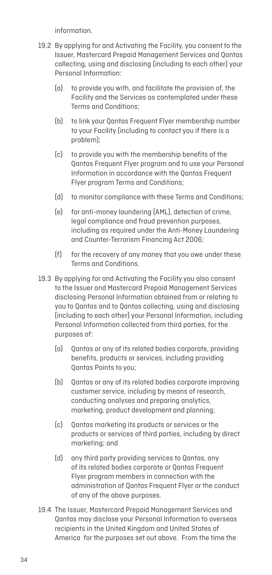information.

- 19.2 By applying for and Activating the Facility, you consent to the Issuer, Mastercard Prepaid Management Services and Qantas collecting, using and disclosing (including to each other) your Personal Information:
	- (a) to provide you with, and facilitate the provision of, the Facility and the Services as contemplated under these Terms and Conditions;
	- (b) to link your Qantas Frequent Flyer membership number to your Facility (including to contact you if there is a problem);
	- (c) to provide you with the membership benefits of the Qantas Frequent Flyer program and to use your Personal Information in accordance with the Qantas Frequent Flyer program Terms and Conditions;
	- (d) to monitor compliance with these Terms and Conditions;
	- (e) for anti-money laundering (AML), detection of crime, legal compliance and fraud prevention purposes, including as required under the Anti-Money Laundering and Counter-Terrorism Financing Act 2006;
	- (f) for the recovery of any money that you owe under these Terms and Conditions.
- 19.3 By applying for and Activating the Facility you also consent to the Issuer and Mastercard Prepaid Management Services disclosing Personal Information obtained from or relating to you to Qantas and to Qantas collecting, using and disclosing (including to each other) your Personal Information, including Personal Information collected from third parties, for the purposes of:
	- (a) Qantas or any of its related bodies corporate, providing benefits, products or services, including providing Qantas Points to you;
	- (b) Qantas or any of its related bodies corporate improving customer service, including by means of research, conducting analyses and preparing analytics, marketing, product development and planning;
	- (c) Qantas marketing its products or services or the products or services of third parties, including by direct marketing; and
	- (d) any third party providing services to Qantas, any of its related bodies corporate or Qantas Frequent Flyer program members in connection with the administration of Qantas Frequent Flyer or the conduct of any of the above purposes.
- 19.4 The Issuer, Mastercard Prepaid Management Services and Qantas may disclose your Personal Information to overseas recipients in the United Kingdom and United States of America for the purposes set out above. From the time the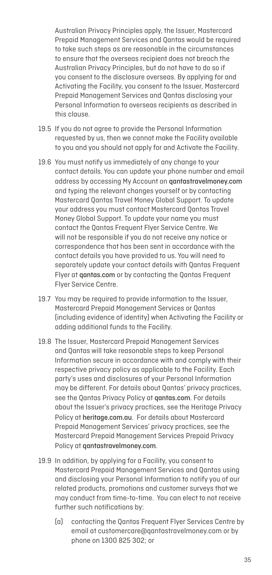Australian Privacy Principles apply, the Issuer, Mastercard Prepaid Management Services and Qantas would be required to take such steps as are reasonable in the circumstances to ensure that the overseas recipient does not breach the Australian Privacy Principles, but do not have to do so if you consent to the disclosure overseas. By applying for and Activating the Facility, you consent to the Issuer, Mastercard Prepaid Management Services and Qantas disclosing your Personal Information to overseas recipients as described in this clause.

- 19.5 If you do not agree to provide the Personal Information requested by us, then we cannot make the Facility available to you and you should not apply for and Activate the Facility.
- 19.6 You must notify us immediately of any change to your contact details. You can update your phone number and email address by accessing My Account on qantastravelmoney.com and typing the relevant changes yourself or by contacting Mastercard Qantas Travel Money Global Support. To update your address you must contact Mastercard Qantas Travel Money Global Support. To update your name you must contact the Qantas Frequent Flyer Service Centre. We will not be responsible if you do not receive any notice or correspondence that has been sent in accordance with the contact details you have provided to us. You will need to separately update your contact details with Qantas Frequent Flyer at qantas.com or by contacting the Qantas Frequent Flyer Service Centre.
- 19.7 You may be required to provide information to the Issuer, Mastercard Prepaid Management Services or Qantas (including evidence of identity) when Activating the Facility or adding additional funds to the Facility.
- 19.8 The Issuer, Mastercard Prepaid Management Services and Qantas will take reasonable steps to keep Personal Information secure in accordance with and comply with their respective privacy policy as applicable to the Facility. Each party's uses and disclosures of your Personal Information may be different. For details about Qantas' privacy practices, see the Qantas Privacy Policy at qantas.com. For details about the Issuer's privacy practices, see the Heritage Privacy Policy at heritage.com.au. For details about Mastercard Prepaid Management Services' privacy practices, see the Mastercard Prepaid Management Services Prepaid Privacy Policy at gantastravelmoney.com.
- 19.9 In addition, by applying for a Facility, you consent to Mastercard Prepaid Management Services and Qantas using and disclosing your Personal Information to notify you of our related products, promotions and customer surveys that we may conduct from time-to-time. You can elect to not receive further such notifications by:
	- (a) contacting the Qantas Frequent Flyer Services Centre by email at customercare@qantastravelmoney.com or by phone on 1300 825 302; or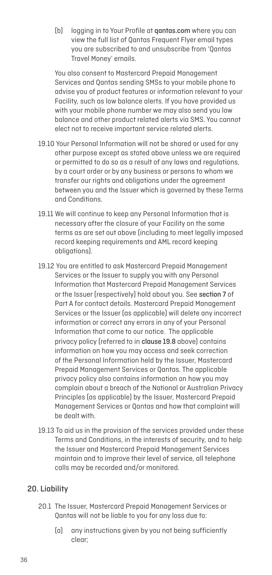(b) logging in to Your Profile at qantas.com where you can view the full list of Qantas Frequent Flyer email types you are subscribed to and unsubscribe from 'Qantas Travel Money' emails.

You also consent to Mastercard Prepaid Management Services and Qantas sending SMSs to your mobile phone to advise you of product features or information relevant to your Facility, such as low balance alerts. If you have provided us with your mobile phone number we may also send you low balance and other product related alerts via SMS. You cannot elect not to receive important service related alerts.

- 19.10 Your Personal Information will not be shared or used for any other purpose except as stated above unless we are required or permitted to do so as a result of any laws and regulations, by a court order or by any business or persons to whom we transfer our rights and obligations under the agreement between you and the Issuer which is governed by these Terms and Conditions.
- 19.11 We will continue to keep any Personal Information that is necessary after the closure of your Facility on the same terms as are set out above (including to meet legally imposed record keeping requirements and AML record keeping obligations).
- 19.12 You are entitled to ask Mastercard Prepaid Management Services or the Issuer to supply you with any Personal Information that Mastercard Prepaid Management Services or the Issuer (respectively) hold about you. See section 7 of Part A for contact details. Mastercard Prepaid Management Services or the Issuer (as applicable) will delete any incorrect information or correct any errors in any of your Personal Information that come to our notice. The applicable privacy policy (referred to in clause 19.8 above) contains information on how you may access and seek correction of the Personal Information held by the Issuer, Mastercard Prepaid Management Services or Qantas. The applicable privacy policy also contains information on how you may complain about a breach of the National or Australian Privacy Principles (as applicable) by the Issuer, Mastercard Prepaid Management Services or Qantas and how that complaint will be dealt with.
- 19.13 To aid us in the provision of the services provided under these Terms and Conditions, in the interests of security, and to help the Issuer and Mastercard Prepaid Management Services maintain and to improve their level of service, all telephone calls may be recorded and/or monitored.

## 20. Liability

- 20.1 The Issuer, Mastercard Prepaid Management Services or Qantas will not be liable to you for any loss due to:
	- (a) any instructions given by you not being sufficiently clear;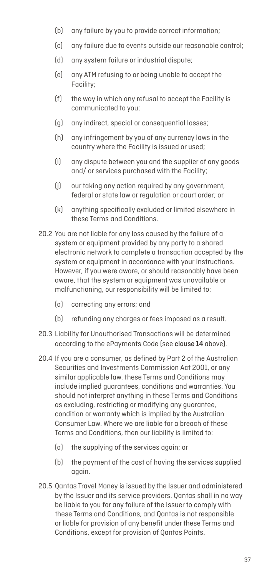- (b) any failure by you to provide correct information;
- (c) any failure due to events outside our reasonable control;
- (d) any system failure or industrial dispute;
- (e) any ATM refusing to or being unable to accept the Facility;
- (f) the way in which any refusal to accept the Facility is communicated to you;
- (g) any indirect, special or consequential losses;
- (h) any infringement by you of any currency laws in the country where the Facility is issued or used;
- (i) any dispute between you and the supplier of any goods and/ or services purchased with the Facility;
- (i) our taking any action required by any government. federal or state law or regulation or court order; or
- (k) anything specifically excluded or limited elsewhere in these Terms and Conditions.
- 20.2 You are not liable for any loss caused by the failure of a system or equipment provided by any party to a shared electronic network to complete a transaction accepted by the system or equipment in accordance with your instructions. However, if you were aware, or should reasonably have been aware, that the system or equipment was unavailable or malfunctioning, our responsibility will be limited to:
	- (a) correcting any errors; and
	- (b) refunding any charges or fees imposed as a result.
- 20.3 Liability for Unauthorised Transactions will be determined according to the ePayments Code (see clause 14 above).
- 20.4 If you are a consumer, as defined by Part 2 of the Australian Securities and Investments Commission Act 2001, or any similar applicable law, these Terms and Conditions may include implied guarantees, conditions and warranties. You should not interpret anything in these Terms and Conditions as excluding, restricting or modifying any guarantee, condition or warranty which is implied by the Australian Consumer Law. Where we are liable for a breach of these Terms and Conditions, then our liability is limited to:
	- (a) the supplying of the services again; or
	- (b) the payment of the cost of having the services supplied again.
- 20.5 Qantas Travel Money is issued by the Issuer and administered by the Issuer and its service providers. Qantas shall in no way be liable to you for any failure of the Issuer to comply with these Terms and Conditions, and Qantas is not responsible or liable for provision of any benefit under these Terms and Conditions, except for provision of Qantas Points.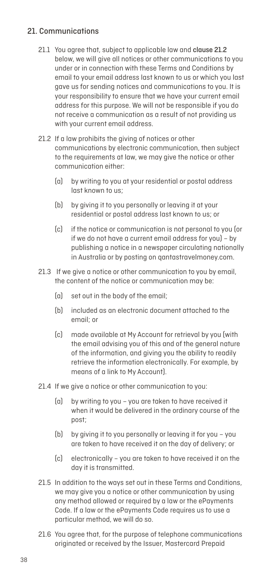## 21. Communications

- 21.1 You agree that, subject to applicable law and **clause 21.2** below, we will give all notices or other communications to you under or in connection with these Terms and Conditions by email to your email address last known to us or which you last gave us for sending notices and communications to you. It is your responsibility to ensure that we have your current email address for this purpose. We will not be responsible if you do not receive a communication as a result of not providing us with your current email address.
- 21.2 If a law prohibits the giving of notices or other communications by electronic communication, then subject to the requirements at law, we may give the notice or other communication either:
	- (a) by writing to you at your residential or postal address last known to us;
	- (b) by giving it to you personally or leaving it at your residential or postal address last known to us; or
	- (c) if the notice or communication is not personal to you (or if we do not have a current email address for you) – by publishing a notice in a newspaper circulating nationally in Australia or by posting on qantastravelmoney.com.
- 21.3 If we give a notice or other communication to you by email, the content of the notice or communication may be:
	- (a) set out in the body of the email;
	- (b) included as an electronic document attached to the email; or
	- (c) made available at My Account for retrieval by you (with the email advising you of this and of the general nature of the information, and giving you the ability to readily retrieve the information electronically. For example, by means of a link to My Account).
- 21.4 If we give a notice or other communication to you:
	- (a) by writing to you you are taken to have received it when it would be delivered in the ordinary course of the post;
	- (b) by giving it to you personally or leaving it for you you are taken to have received it on the day of delivery; or
	- (c) electronically you are taken to have received it on the day it is transmitted.
- 21.5 In addition to the ways set out in these Terms and Conditions, we may give you a notice or other communication by using any method allowed or required by a law or the ePayments Code. If a law or the ePayments Code requires us to use a particular method, we will do so.
- 21.6 You agree that, for the purpose of telephone communications originated or received by the Issuer, Mastercard Prepaid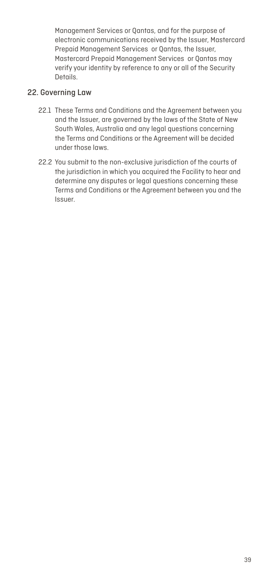Management Services or Qantas, and for the purpose of electronic communications received by the Issuer, Mastercard Prepaid Management Services or Qantas, the Issuer, Mastercard Prepaid Management Services or Qantas may verify your identity by reference to any or all of the Security Details.

#### 22. Governing Law

- 22.1 These Terms and Conditions and the Agreement between you and the Issuer, are governed by the laws of the State of New South Wales, Australia and any legal questions concerning the Terms and Conditions or the Agreement will be decided under those laws.
- 22.2 You submit to the non-exclusive jurisdiction of the courts of the jurisdiction in which you acquired the Facility to hear and determine any disputes or legal questions concerning these Terms and Conditions or the Agreement between you and the Issuer.